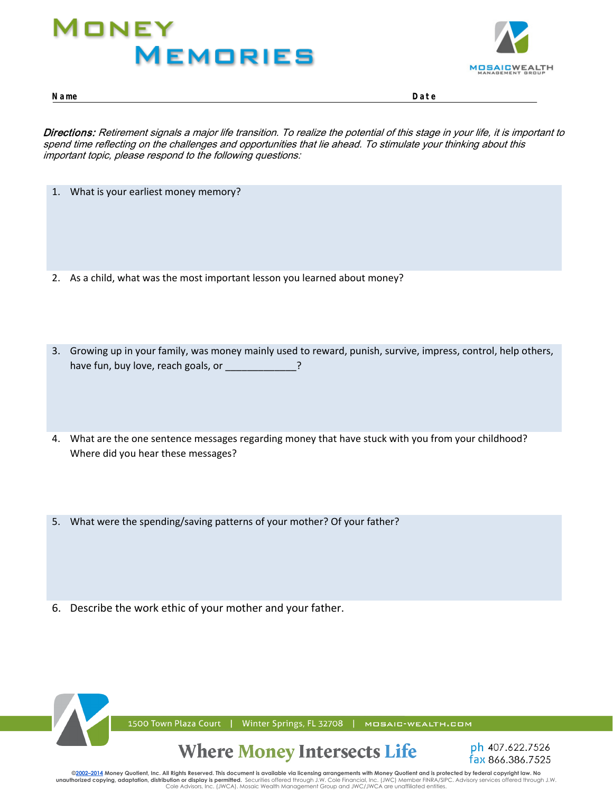# **1** ONEY **MEMORIES**



**Name Date Name Date**

Directions: Retirement signals a major life transition. To realize the potential of this stage in your life, it is important to spend time reflecting on the challenges and opportunities that lie ahead. To stimulate your thinking about this important topic, please respond to the following questions: *Directions: Look for clues in your past that will help you to understand your current financial life. Starting with your childhood, what experiences have shaped your underlying beliefs and attitudes about money? What do your patterns of*

- 1. What is your earliest money memory?
- 2. As a child, what was the most important lesson you learned about money?
- 3. Growing up in your family, was money mainly used to reward, punish, survive, impress, control, help others, have fun, buy love, reach goals, or
- 4. What are the one sentence messages regarding money that have stuck with you from your childhood? Where did you hear these messages?
- 5. What were the spending/saving patterns of your mother? Of your father?
- 6. Describe the work ethic of your mother and your father.



1500 Town Plaza Court | Winter Springs, FL 32708 | MOSAIC-WEALTH.COM

#### **Where Money Intersects Life**



©2002–2014 Money Quotient, Inc. All Rights Reserved. This document is available via licensing arrangements with Money Quotient and is protected by federal copyright law. No unauthorized copying, adaptation, distribution or display is permitted. Securities offered through J.W. Cole Financial, Inc. (JWC) Member FINRA/SIPC. Advisory services offered through J.W. Cole Advisors, Inc. (JWCA). Mosaic Wealth Management Group and JWC/JWCA are unaffiliated entities.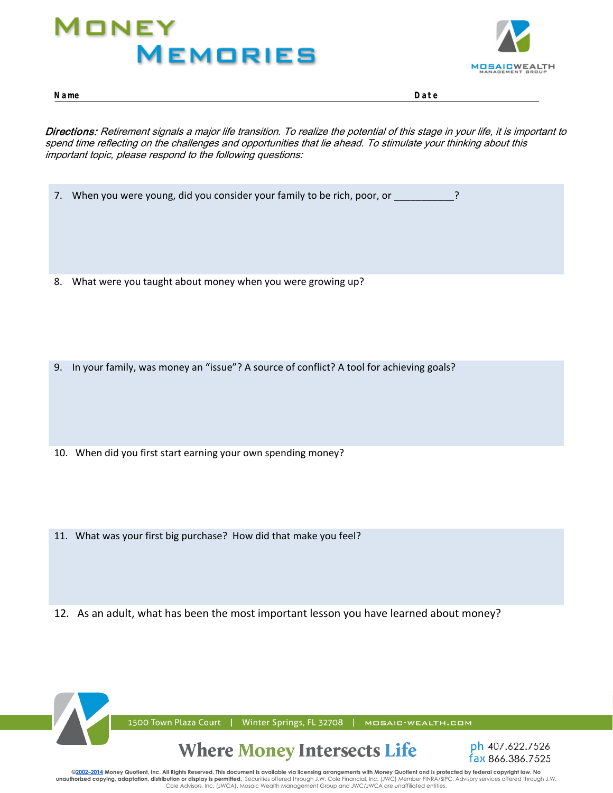# MONEY **MEMORIES**



**Name Date Name Date**

Directions: Retirement signals a major life transition. To realize the potential of this stage in your life, it is important to spend time reflecting on the challenges and opportunities that lie ahead. To stimulate your thinking about this important topic, please respond to the following questions: *Directions: Look for clues in your past that will help you to understand your current financial life. Starting with your childhood, what experiences have shaped your underlying beliefs and attitudes about money? What do your patterns of* 

- 7. When you were young, did you consider your family to be rich, poor, or \_\_\_\_\_\_\_\_\_\_\_?
- 8. What were you taught about money when you were growing up?
- 9. In your family, was money an "issue"? A source of conflict? A tool for achieving goals?
- 10. When did you first start earning your own spending money?
- 11. What was your first big purchase? How did that make you feel?
- 12. As an adult, what has been the most important lesson you have learned about money?



©<mark>2002–2014</mark> Money Quotient, Inc. All Rights Reserved. This document is available via licensing arrangements with Money Quotient and is protected by federal copyright law. No **unauthorized copying, adaptation, distribution or display is permitted.** Securities offered through J.W. Cole Financial, Inc. (JWC) Member FINRA/SIPC. Advisory services offered through J.W.<br>Cole Advisors, Inc. (JWCA). Mos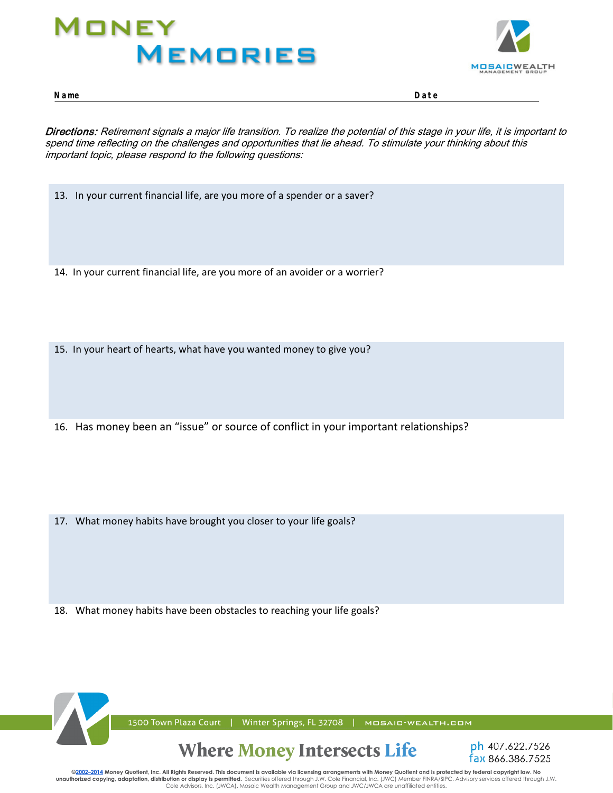# MONEY **MEMORIES**



**Name Date Name Date**

Directions: Retirement signals a major life transition. To realize the potential of this stage in your life, it is important to spend time reflecting on the challenges and opportunities that lie ahead. To stimulate your thinking about this important topic, please respond to the following questions: *Directions: Look for clues in your past that will help you to understand your current financial life. Starting with your childhood, what experiences have shaped your underlying beliefs and attitudes about money? What do your patterns of* 

13. In your current financial life, are you more of a spender or a saver?

14. In your current financial life, are you more of an avoider or a worrier?

15. In your heart of hearts, what have you wanted money to give you?

16. Has money been an "issue" or source of conflict in your important relationships?

17. What money habits have brought you closer to your life goals?

18. What money habits have been obstacles to reaching your life goals?



©<mark>2002–2014</mark> Money Quotient, Inc. All Rights Reserved. This document is available via licensing arrangements with Money Quotient and is protected by federal copyright law. No **unauthorized copying, adaptation, distribution or display is permitted.** Securities offered through J.W. Cole Financial, Inc. (JWC) Member FINRA/SIPC. Advisory services offered through J.W.<br>Cole Advisors, Inc. (JWCA). Mos